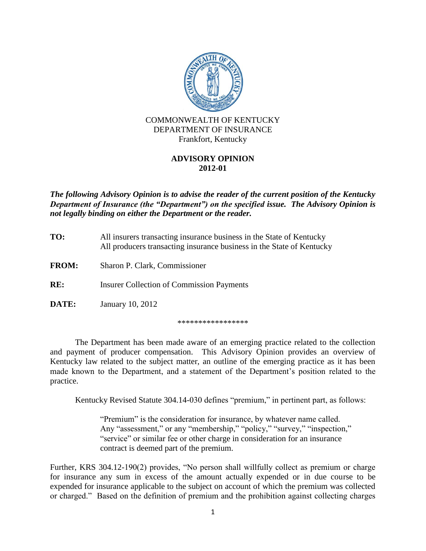

## **ADVISORY OPINION 2012-01**

*The following Advisory Opinion is to advise the reader of the current position of the Kentucky Department of Insurance (the "Department") on the specified issue. The Advisory Opinion is not legally binding on either the Department or the reader.*

| TO:          | All insurers transacting insurance business in the State of Kentucky<br>All producers transacting insurance business in the State of Kentucky |
|--------------|-----------------------------------------------------------------------------------------------------------------------------------------------|
| <b>FROM:</b> | Sharon P. Clark, Commissioner                                                                                                                 |
| RE:          | <b>Insurer Collection of Commission Payments</b>                                                                                              |
| <b>DATE:</b> | January 10, 2012                                                                                                                              |

\*\*\*\*\*\*\*\*\*\*\*\*\*\*\*\*\*

The Department has been made aware of an emerging practice related to the collection and payment of producer compensation. This Advisory Opinion provides an overview of Kentucky law related to the subject matter, an outline of the emerging practice as it has been made known to the Department, and a statement of the Department's position related to the practice.

Kentucky Revised Statute 304.14-030 defines "premium," in pertinent part, as follows:

"Premium" is the consideration for insurance, by whatever name called. Any "assessment," or any "membership," "policy," "survey," "inspection," "service" or similar fee or other charge in consideration for an insurance contract is deemed part of the premium.

Further, KRS 304.12-190(2) provides, "No person shall willfully collect as premium or charge for insurance any sum in excess of the amount actually expended or in due course to be expended for insurance applicable to the subject on account of which the premium was collected or charged." Based on the definition of premium and the prohibition against collecting charges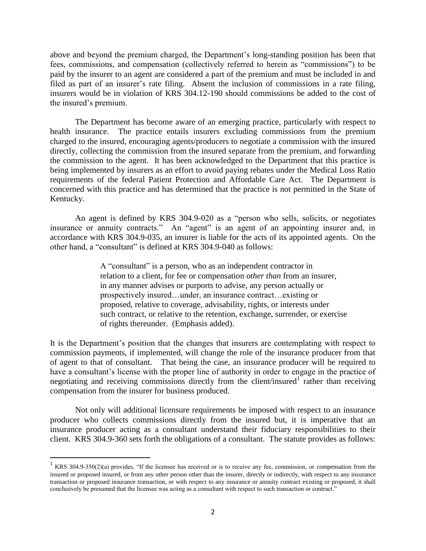above and beyond the premium charged, the Department's long-standing position has been that fees, commissions, and compensation (collectively referred to herein as "commissions") to be paid by the insurer to an agent are considered a part of the premium and must be included in and filed as part of an insurer's rate filing. Absent the inclusion of commissions in a rate filing, insurers would be in violation of KRS 304.12-190 should commissions be added to the cost of the insured's premium.

The Department has become aware of an emerging practice, particularly with respect to health insurance. The practice entails insurers excluding commissions from the premium charged to the insured, encouraging agents/producers to negotiate a commission with the insured directly, collecting the commission from the insured separate from the premium, and forwarding the commission to the agent. It has been acknowledged to the Department that this practice is being implemented by insurers as an effort to avoid paying rebates under the Medical Loss Ratio requirements of the federal Patient Protection and Affordable Care Act. The Department is concerned with this practice and has determined that the practice is not permitted in the State of Kentucky.

An agent is defined by KRS 304.9-020 as a "person who sells, solicits, or negotiates insurance or annuity contracts." An "agent" is an agent of an appointing insurer and, in accordance with KRS 304.9-035, an insurer is liable for the acts of its appointed agents. On the other hand, a "consultant" is defined at KRS 304.9-040 as follows:

> A "consultant" is a person, who as an independent contractor in relation to a client, for fee or compensation *other than* from an insurer, in any manner advises or purports to advise, any person actually or prospectively insured…under, an insurance contract…existing or proposed, relative to coverage, advisability, rights, or interests under such contract, or relative to the retention, exchange, surrender, or exercise of rights thereunder. (Emphasis added).

It is the Department's position that the changes that insurers are contemplating with respect to commission payments, if implemented, will change the role of the insurance producer from that of agent to that of consultant. That being the case, an insurance producer will be required to have a consultant's license with the proper line of authority in order to engage in the practice of negotiating and receiving commissions directly from the client/insured<sup>1</sup> rather than receiving compensation from the insurer for business produced.

Not only will additional licensure requirements be imposed with respect to an insurance producer who collects commissions directly from the insured but, it is imperative that an insurance producer acting as a consultant understand their fiduciary responsibilities to their client. KRS 304.9-360 sets forth the obligations of a consultant. The statute provides as follows:

l

<sup>&</sup>lt;sup>1</sup> KRS 304.9-350(2)(a) provides, "If the licensee has received or is to receive any fee, commission, or compensation from the insured or proposed insured, or from any other person other than the insurer, directly or indirectly, with respect to any insurance transaction or proposed insurance transaction, or with respect to any insurance or annuity contract existing or proposed, it shall conclusively be presumed that the licensee was acting as a consultant with respect to such transaction or contract."